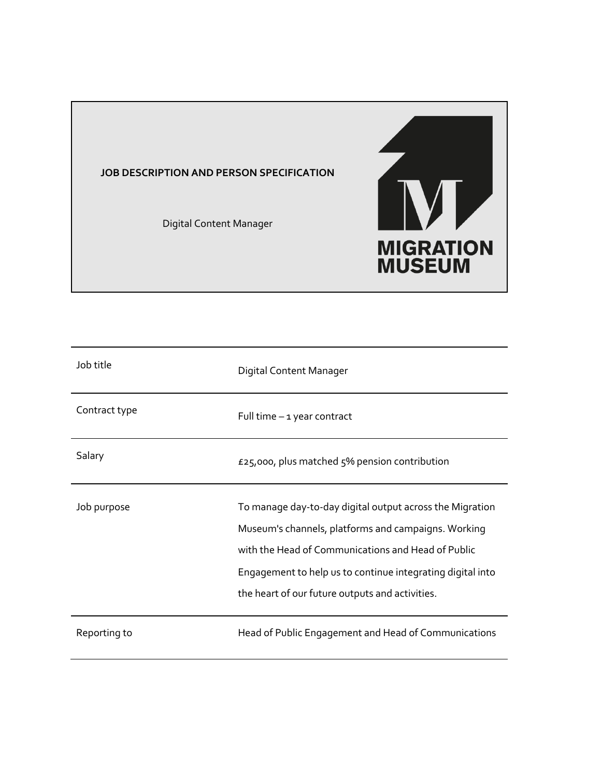# **JOB DESCRIPTION AND PERSON SPECIFICATION**

Digital Content Manager



| Job title     | Digital Content Manager                                                                                                                                                                                                                                                                |
|---------------|----------------------------------------------------------------------------------------------------------------------------------------------------------------------------------------------------------------------------------------------------------------------------------------|
| Contract type | Full time - 1 year contract                                                                                                                                                                                                                                                            |
| Salary        | £25,000, plus matched 5% pension contribution                                                                                                                                                                                                                                          |
| Job purpose   | To manage day-to-day digital output across the Migration<br>Museum's channels, platforms and campaigns. Working<br>with the Head of Communications and Head of Public<br>Engagement to help us to continue integrating digital into<br>the heart of our future outputs and activities. |
| Reporting to  | Head of Public Engagement and Head of Communications                                                                                                                                                                                                                                   |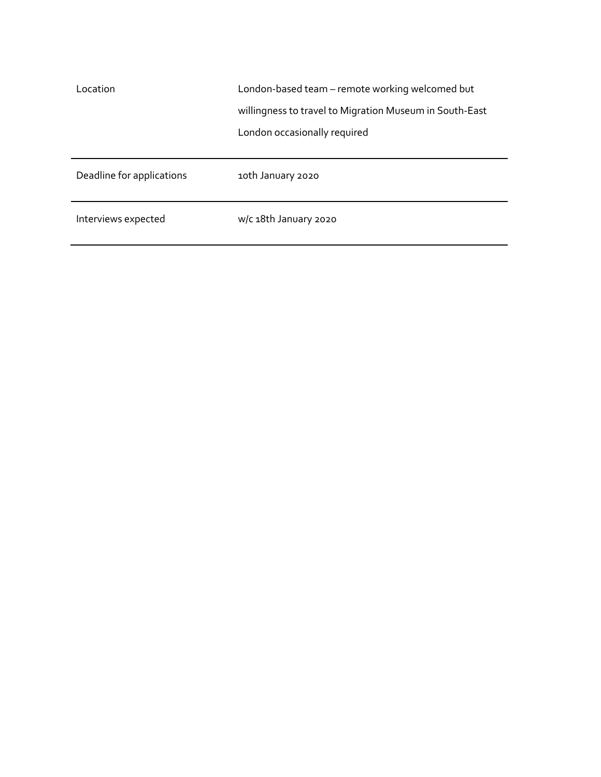| Location                  | London-based team – remote working welcomed but         |
|---------------------------|---------------------------------------------------------|
|                           | willingness to travel to Migration Museum in South-East |
|                           | London occasionally required                            |
|                           |                                                         |
| Deadline for applications | 10th January 2020                                       |
| Interviews expected       | w/c 18th January 2020                                   |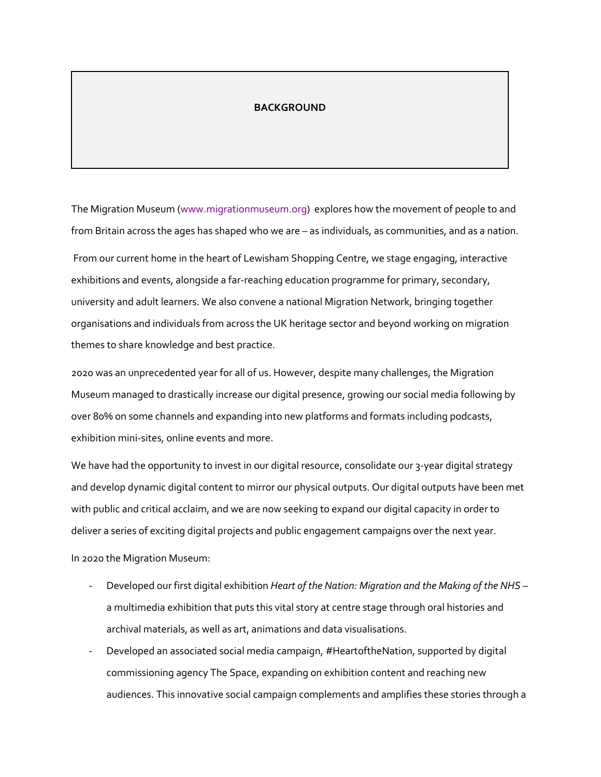#### **BACKGROUND**

The Migration Museum (www.migrationmuseum.org) explores how the movement of people to and from Britain across the ages has shaped who we are – as individuals, as communities, and as a nation.

From our current home in the heart of Lewisham Shopping Centre, we stage engaging, interactive exhibitions and events, alongside a far-reaching education programme for primary, secondary, university and adult learners. We also convene a national Migration Network, bringing together organisations and individuals from across the UK heritage sector and beyond working on migration themes to share knowledge and best practice.

2020 was an unprecedented year for all of us. However, despite many challenges, the Migration Museum managed to drastically increase our digital presence, growing our social media following by over 80% on some channels and expanding into new platforms and formats including podcasts, exhibition mini-sites, online events and more.

We have had the opportunity to invest in our digital resource, consolidate our 3-year digital strategy and develop dynamic digital content to mirror our physical outputs. Our digital outputs have been met with public and critical acclaim, and we are now seeking to expand our digital capacity in order to deliver a series of exciting digital projects and public engagement campaigns over the next year. In 2020 the Migration Museum:

- Developed our first digital exhibition *Heart of the Nation: Migration and the Making of the NHS* a multimedia exhibition that puts this vital story at centre stage through oral histories and archival materials, as well as art, animations and data visualisations.
- Developed an associated social media campaign, #HeartoftheNation, supported by digital commissioning agency The Space, expanding on exhibition content and reaching new audiences. This innovative social campaign complements and amplifies these stories through a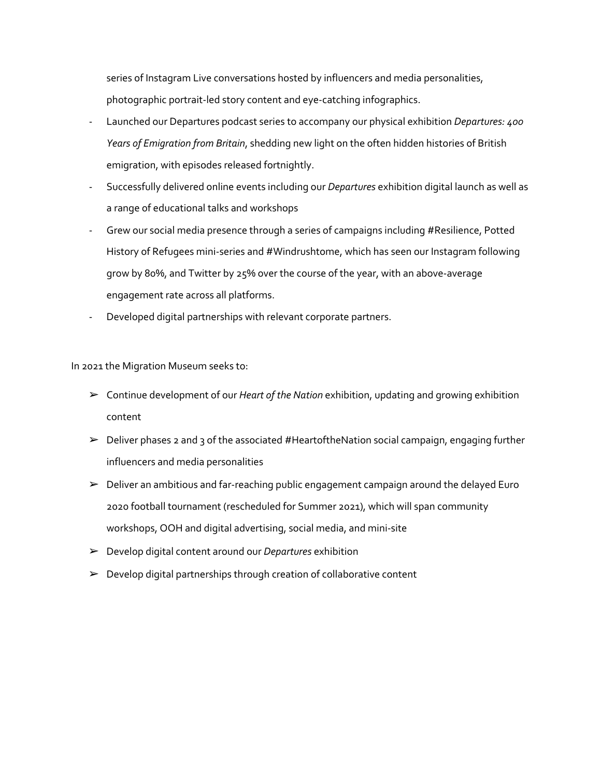series of Instagram Live conversations hosted by influencers and media personalities, photographic portrait-led story content and eye-catching infographics.

- Launched our Departures podcast series to accompany our physical exhibition *Departures: 400 Years of Emigration from Britain*, shedding new light on the often hidden histories of British emigration, with episodes released fortnightly.
- Successfully delivered online events including our *Departures* exhibition digital launch as well as a range of educational talks and workshops
- Grew our social media presence through a series of campaigns including #Resilience, Potted History of Refugees mini-series and #Windrushtome, which has seen our Instagram following grow by 80%, and Twitter by 25% over the course of the year, with an above-average engagement rate across all platforms.
- Developed digital partnerships with relevant corporate partners.

In 2021 the Migration Museum seeks to:

- ➢ Continue development of our *Heart of the Nation* exhibition, updating and growing exhibition content
- $\triangleright$  Deliver phases 2 and 3 of the associated #HeartoftheNation social campaign, engaging further influencers and media personalities
- $\triangleright$  Deliver an ambitious and far-reaching public engagement campaign around the delayed Euro 2020 football tournament (rescheduled for Summer 2021), which will span community workshops, OOH and digital advertising, social media, and mini-site
- ➢ Develop digital content around our *Departures* exhibition
- $\triangleright$  Develop digital partnerships through creation of collaborative content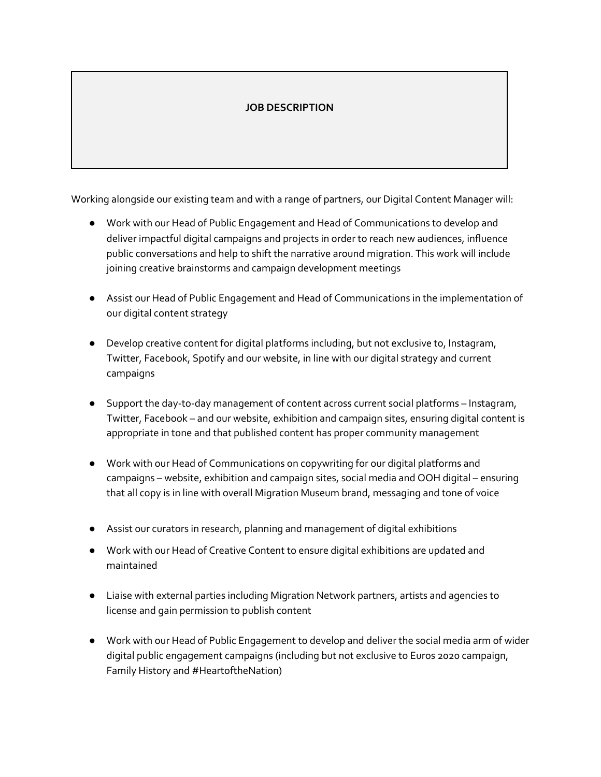# **JOB DESCRIPTION**

Working alongside our existing team and with a range of partners, our Digital Content Manager will:

- Work with our Head of Public Engagement and Head of Communications to develop and deliver impactful digital campaigns and projects in order to reach new audiences, influence public conversations and help to shift the narrative around migration. This work will include joining creative brainstorms and campaign development meetings
- Assist our Head of Public Engagement and Head of Communications in the implementation of our digital content strategy
- Develop creative content for digital platforms including, but not exclusive to, Instagram, Twitter, Facebook, Spotify and our website, in line with our digital strategy and current campaigns
- Support the day-to-day management of content across current social platforms Instagram, Twitter, Facebook – and our website, exhibition and campaign sites, ensuring digital content is appropriate in tone and that published content has proper community management
- Work with our Head of Communications on copywriting for our digital platforms and campaigns – website, exhibition and campaign sites, social media and OOH digital – ensuring that all copy is in line with overall Migration Museum brand, messaging and tone of voice
- Assist our curators in research, planning and management of digital exhibitions
- Work with our Head of Creative Content to ensure digital exhibitions are updated and maintained
- Liaise with external parties including Migration Network partners, artists and agencies to license and gain permission to publish content
- Work with our Head of Public Engagement to develop and deliver the social media arm of wider digital public engagement campaigns (including but not exclusive to Euros 2020 campaign, Family History and #HeartoftheNation)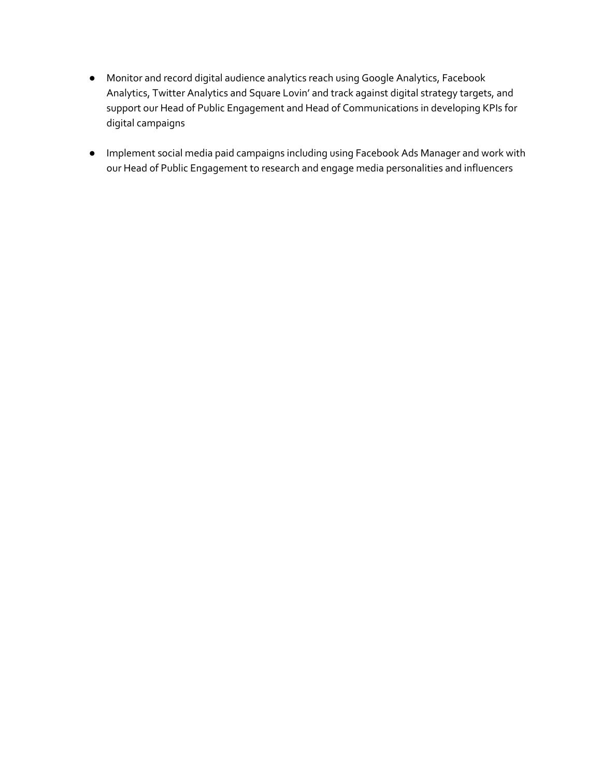- Monitor and record digital audience analytics reach using Google Analytics, Facebook Analytics, Twitter Analytics and Square Lovin' and track against digital strategy targets, and support our Head of Public Engagement and Head of Communications in developing KPIs for digital campaigns
- Implement social media paid campaigns including using Facebook Ads Manager and work with our Head of Public Engagement to research and engage media personalities and influencers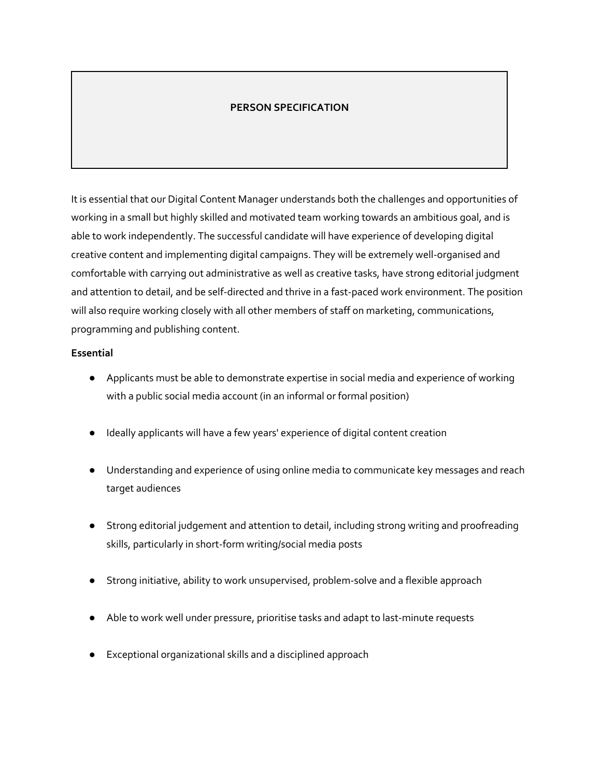# **PERSON SPECIFICATION**

It is essential that our Digital Content Manager understands both the challenges and opportunities of working in a small but highly skilled and motivated team working towards an ambitious goal, and is able to work independently. The successful candidate will have experience of developing digital creative content and implementing digital campaigns. They will be extremely well-organised and comfortable with carrying out administrative as well as creative tasks, have strong editorial judgment and attention to detail, and be self-directed and thrive in a fast-paced work environment. The position will also require working closely with all other members of staff on marketing, communications, programming and publishing content.

### **Essential**

- Applicants must be able to demonstrate expertise in social media and experience of working with a public social media account (in an informal or formal position)
- Ideally applicants will have a few years' experience of digital content creation
- Understanding and experience of using online media to communicate key messages and reach target audiences
- Strong editorial judgement and attention to detail, including strong writing and proofreading skills, particularly in short-form writing/social media posts
- Strong initiative, ability to work unsupervised, problem-solve and a flexible approach
- Able to work well under pressure, prioritise tasks and adapt to last-minute requests
- Exceptional organizational skills and a disciplined approach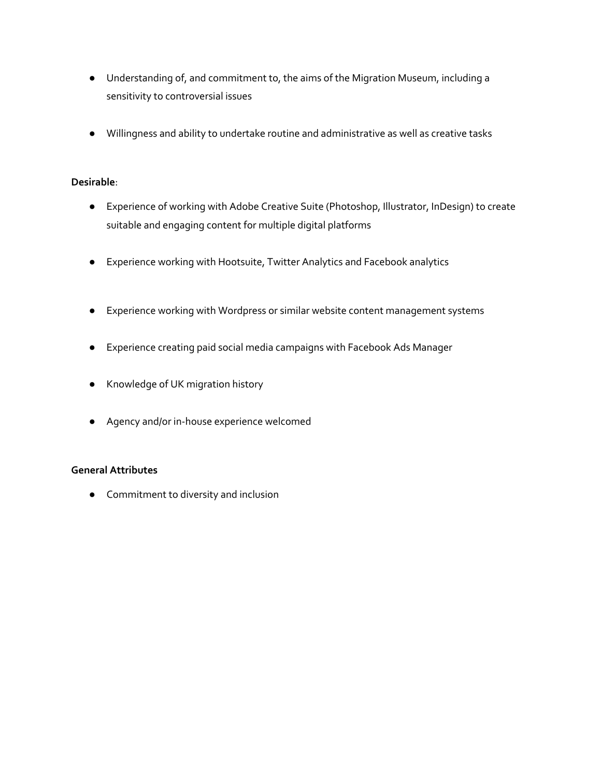- Understanding of, and commitment to, the aims of the Migration Museum, including a sensitivity to controversial issues
- Willingness and ability to undertake routine and administrative as well as creative tasks

### **Desirable**:

- Experience of working with Adobe Creative Suite (Photoshop, Illustrator, InDesign) to create suitable and engaging content for multiple digital platforms
- Experience working with Hootsuite, Twitter Analytics and Facebook analytics
- Experience working with Wordpress or similar website content management systems
- Experience creating paid social media campaigns with Facebook Ads Manager
- Knowledge of UK migration history
- Agency and/or in-house experience welcomed

### **General Attributes**

● Commitment to diversity and inclusion